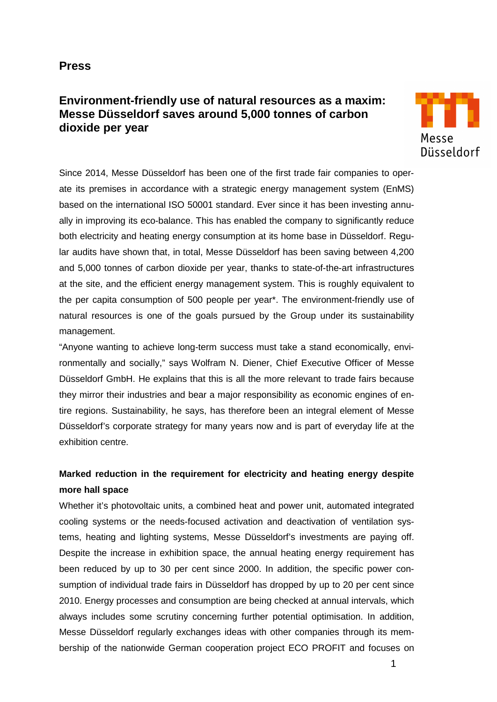### **Press**

# **Environment-friendly use of natural resources as a maxim: Messe Düsseldorf saves around 5,000 tonnes of carbon dioxide per year**



Since 2014, Messe Düsseldorf has been one of the first trade fair companies to operate its premises in accordance with a strategic energy management system (EnMS) based on the international ISO 50001 standard. Ever since it has been investing annually in improving its eco-balance. This has enabled the company to significantly reduce both electricity and heating energy consumption at its home base in Düsseldorf. Regular audits have shown that, in total, Messe Düsseldorf has been saving between 4,200 and 5,000 tonnes of carbon dioxide per year, thanks to state-of-the-art infrastructures at the site, and the efficient energy management system. This is roughly equivalent to the per capita consumption of 500 people per year\*. The environment-friendly use of natural resources is one of the goals pursued by the Group under its sustainability management.

"Anyone wanting to achieve long-term success must take a stand economically, environmentally and socially," says Wolfram N. Diener, Chief Executive Officer of Messe Düsseldorf GmbH. He explains that this is all the more relevant to trade fairs because they mirror their industries and bear a major responsibility as economic engines of entire regions. Sustainability, he says, has therefore been an integral element of Messe Düsseldorf's corporate strategy for many years now and is part of everyday life at the exhibition centre.

## **Marked reduction in the requirement for electricity and heating energy despite more hall space**

Whether it's photovoltaic units, a combined heat and power unit, automated integrated cooling systems or the needs-focused activation and deactivation of ventilation systems, heating and lighting systems, Messe Düsseldorf's investments are paying off. Despite the increase in exhibition space, the annual heating energy requirement has been reduced by up to 30 per cent since 2000. In addition, the specific power consumption of individual trade fairs in Düsseldorf has dropped by up to 20 per cent since 2010. Energy processes and consumption are being checked at annual intervals, which always includes some scrutiny concerning further potential optimisation. In addition, Messe Düsseldorf regularly exchanges ideas with other companies through its membership of the nationwide German cooperation project ECO PROFIT and focuses on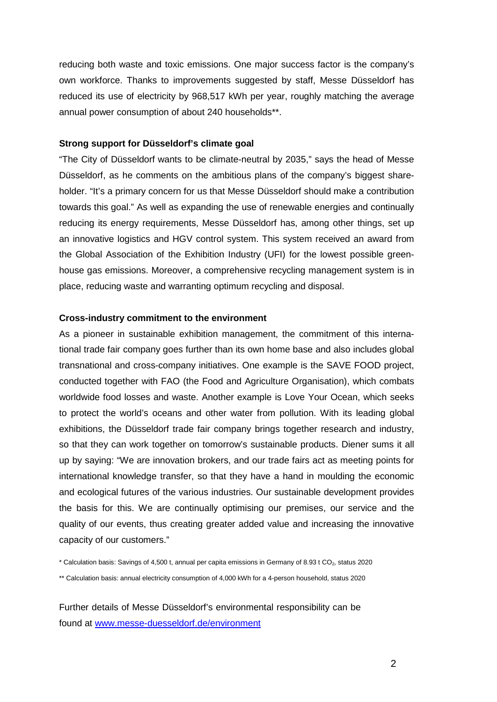reducing both waste and toxic emissions. One major success factor is the company's own workforce. Thanks to improvements suggested by staff, Messe Düsseldorf has reduced its use of electricity by 968,517 kWh per year, roughly matching the average annual power consumption of about 240 households\*\*.

### **Strong support for Düsseldorf's climate goal**

"The City of Düsseldorf wants to be climate-neutral by 2035," says the head of Messe Düsseldorf, as he comments on the ambitious plans of the company's biggest shareholder. "It's a primary concern for us that Messe Düsseldorf should make a contribution towards this goal." As well as expanding the use of renewable energies and continually reducing its energy requirements, Messe Düsseldorf has, among other things, set up an innovative logistics and HGV control system. This system received an award from the Global Association of the Exhibition Industry (UFI) for the lowest possible greenhouse gas emissions. Moreover, a comprehensive recycling management system is in place, reducing waste and warranting optimum recycling and disposal.

#### **Cross-industry commitment to the environment**

As a pioneer in sustainable exhibition management, the commitment of this international trade fair company goes further than its own home base and also includes global transnational and cross-company initiatives. One example is the SAVE FOOD project, conducted together with FAO (the Food and Agriculture Organisation), which combats worldwide food losses and waste. Another example is Love Your Ocean, which seeks to protect the world's oceans and other water from pollution. With its leading global exhibitions, the Düsseldorf trade fair company brings together research and industry, so that they can work together on tomorrow's sustainable products. Diener sums it all up by saying: "We are innovation brokers, and our trade fairs act as meeting points for international knowledge transfer, so that they have a hand in moulding the economic and ecological futures of the various industries. Our sustainable development provides the basis for this. We are continually optimising our premises, our service and the quality of our events, thus creating greater added value and increasing the innovative capacity of our customers."

\* Calculation basis: Savings of 4,500 t, annual per capita emissions in Germany of 8.93 t CO2, status 2020

\*\* Calculation basis: annual electricity consumption of 4,000 kWh for a 4-person household, status 2020

Further details of Messe Düsseldorf's environmental responsibility can be found at [www.messe-duesseldorf.de/environment](http://www.messe-duesseldorf.de/environment)